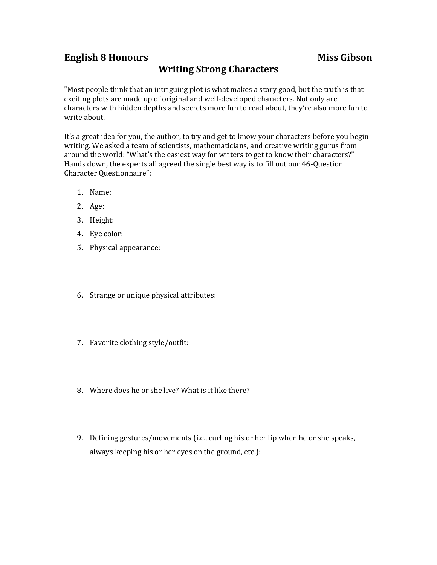## **English 8 Honours Miss Gibson**

## **Writing Strong Characters**

"Most people think that an intriguing plot is what makes a story good, but the truth is that exciting plots are made up of original and well-developed characters. Not only are characters with hidden depths and secrets more fun to read about, they're also more fun to write about.

It's a great idea for you, the author, to try and get to know your characters before you begin writing. We asked a team of scientists, mathematicians, and creative writing gurus from around the world: "What's the easiest way for writers to get to know their characters?" Hands down, the experts all agreed the single best way is to fill out our 46-Question Character Questionnaire":

- 1. Name:
- 2. Age:
- 3. Height:
- 4. Eye color:
- 5. Physical appearance:
- 6. Strange or unique physical attributes:
- 7. Favorite clothing style/outfit:
- 8. Where does he or she live? What is it like there?
- 9. Defining gestures/movements (i.e., curling his or her lip when he or she speaks, always keeping his or her eyes on the ground, etc.):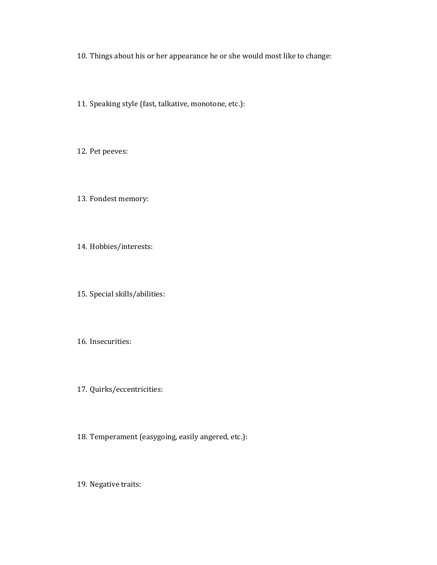10. Things about his or her appearance he or she would most like to change:

11. Speaking style (fast, talkative, monotone, etc.):

12. Pet peeves:

13. Fondest memory:

14. Hobbies/interests:

15. Special skills/abilities:

16. Insecurities:

17. Quirks/eccentricities:

18. Temperament (easygoing, easily angered, etc.):

19. Negative traits: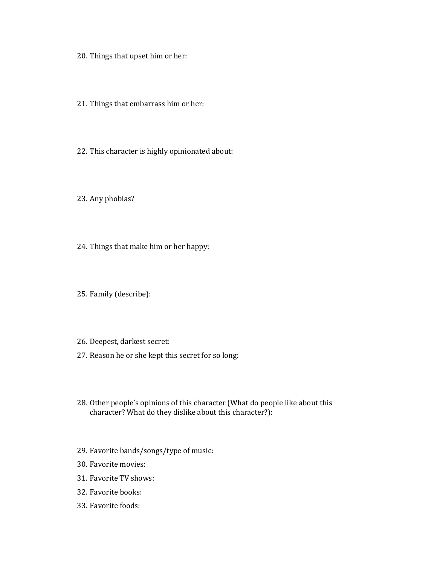- 20. Things that upset him or her:
- 21. Things that embarrass him or her:
- 22. This character is highly opinionated about:

23. Any phobias?

- 24. Things that make him or her happy:
- 25. Family (describe):
- 26. Deepest, darkest secret:
- 27. Reason he or she kept this secret for so long:
- 28. Other people's opinions of this character (What do people like about this character? What do they dislike about this character?):
- 29. Favorite bands/songs/type of music:
- 30. Favorite movies:
- 31. Favorite TV shows:
- 32. Favorite books:
- 33. Favorite foods: